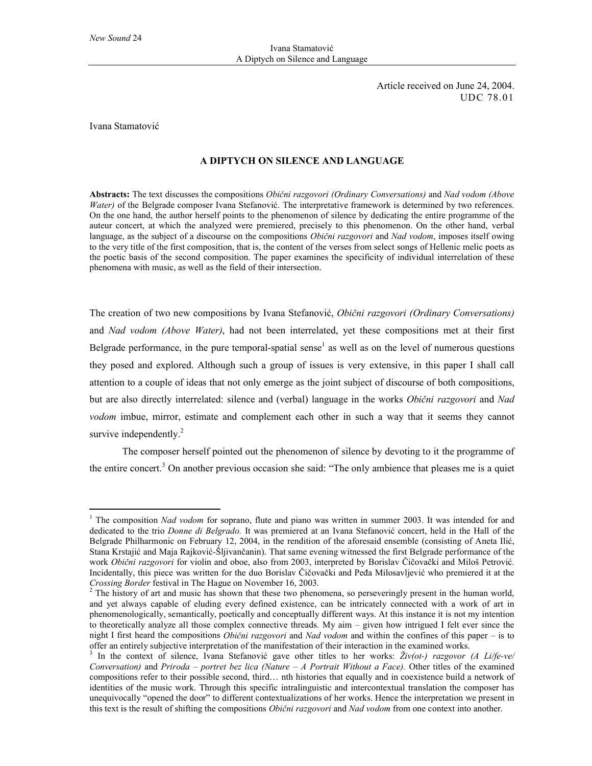Article received on June 24, 2004. UDC 78.01

Ivana Stamatović

 $\overline{a}$ 

## **A DIPTYCH ON SILENCE AND LANGUAGE**

**Abstracts:** The text discusses the compositions *Obični razgovori (Ordinary Conversations)* and *Nad vodom (Above Water*) of the Belgrade composer Ivana Stefanović. The interpretative framework is determined by two references. On the one hand, the author herself points to the phenomenon of silence by dedicating the entire programme of the auteur concert, at which the analyzed were premiered, precisely to this phenomenon. On the other hand, verbal language, as the subject of a discourse on the compositions *Obični razgovori* and *Nad vodom*, imposes itself owing to the very title of the first composition, that is, the content of the verses from select songs of Hellenic melic poets as the poetic basis of the second composition. The paper examines the specificity of individual interrelation of these phenomena with music, as well as the field of their intersection.

The creation of two new compositions by Ivana Stefanović, *Obični razgovori (Ordinary Conversations)* and *Nad vodom (Above Water)*, had not been interrelated, yet these compositions met at their first Belgrade performance, in the pure temporal-spatial sense<sup>1</sup> as well as on the level of numerous questions they posed and explored. Although such a group of issues is very extensive, in this paper I shall call attention to a couple of ideas that not only emerge as the joint subject of discourse of both compositions, but are also directly interrelated: silence and (verbal) language in the works *Obični razgovori* and *Nad vodom* imbue, mirror, estimate and complement each other in such a way that it seems they cannot survive independently.<sup>2</sup>

The composer herself pointed out the phenomenon of silence by devoting to it the programme of the entire concert.<sup>3</sup> On another previous occasion she said: "The only ambience that pleases me is a quiet

<sup>&</sup>lt;sup>1</sup> The composition *Nad vodom* for soprano, flute and piano was written in summer 2003. It was intended for and dedicated to the trio *Donne di Belgrado.* It was premiered at an Ivana Stefanović concert, held in the Hall of the Belgrade Philharmonic on February 12, 2004, in the rendition of the aforesaid ensemble (consisting of Aneta Ilić, Stana Krstajić and Maja Rajković-Šljivančanin). That same evening witnessed the first Belgrade performance of the work *Obični razgovori* for violin and oboe, also from 2003, interpreted by Borislav Čičovački and Miloš Petrović. Incidentally, this piece was written for the duo Borislav Čičovački and Peđa Milosavljević who premiered it at the *Crossing Border* festival in The Hague on November 16, 2003.

The history of art and music has shown that these two phenomena, so perseveringly present in the human world, and yet always capable of eluding every defined existence, can be intricately connected with a work of art in phenomenologically, semantically, poetically and conceptually different ways. At this instance it is not my intention to theoretically analyze all those complex connective threads. My aim – given how intrigued I felt ever since the night I first heard the compositions *Obični razgovori* and *Nad vodom* and within the confines of this paper – is to offer an entirely subjective interpretation of the manifestation of their interaction in the examined works.

<sup>&</sup>lt;sup>3</sup> In the context of silence, Ivana Stefanović gave other titles to her works:  $\tilde{Z}iv(\sigma t)$  razgovor (A Li/fe-ve/ *Conversation)* and *Priroda – portret bez lica (Nature – A Portrait Without a Face).* Other titles of the examined compositions refer to their possible second, third… nth histories that equally and in coexistence build a network of identities of the music work. Through this specific intralinguistic and intercontextual translation the composer has unequivocally "opened the door" to different contextualizations of her works. Hence the interpretation we present in this text is the result of shifting the compositions *Obični razgovori* and *Nad vodom* from one context into another.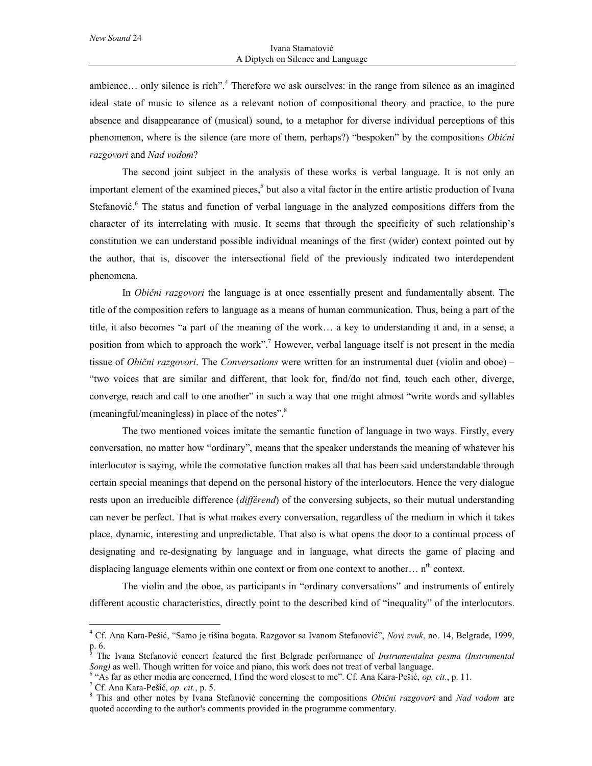ambience... only silence is rich".<sup>4</sup> Therefore we ask ourselves: in the range from silence as an imagined ideal state of music to silence as a relevant notion of compositional theory and practice, to the pure absence and disappearance of (musical) sound, to a metaphor for diverse individual perceptions of this phenomenon, where is the silence (are more of them, perhaps?) "bespoken" by the compositions *Obični razgovori* and *Nad vodom*?

The second joint subject in the analysis of these works is verbal language. It is not only an important element of the examined pieces,<sup>5</sup> but also a vital factor in the entire artistic production of Ivana Stefanović.<sup>6</sup> The status and function of verbal language in the analyzed compositions differs from the character of its interrelating with music. It seems that through the specificity of such relationship's constitution we can understand possible individual meanings of the first (wider) context pointed out by the author, that is, discover the intersectional field of the previously indicated two interdependent phenomena.

In *Obični razgovori* the language is at once essentially present and fundamentally absent. The title of the composition refers to language as a means of human communication. Thus, being a part of the title, it also becomes "a part of the meaning of the work… a key to understanding it and, in a sense, a position from which to approach the work".<sup>7</sup> However, verbal language itself is not present in the media tissue of *Obični razgovori*. The *Conversations* were written for an instrumental duet (violin and oboe) – "two voices that are similar and different, that look for, find/do not find, touch each other, diverge, converge, reach and call to one another" in such a way that one might almost "write words and syllables (meaningful/meaningless) in place of the notes".<sup>8</sup>

The two mentioned voices imitate the semantic function of language in two ways. Firstly, every conversation, no matter how "ordinary", means that the speaker understands the meaning of whatever his interlocutor is saying, while the connotative function makes all that has been said understandable through certain special meanings that depend on the personal history of the interlocutors. Hence the very dialogue rests upon an irreducible difference (*différend*) of the conversing subjects, so their mutual understanding can never be perfect. That is what makes every conversation, regardless of the medium in which it takes place, dynamic, interesting and unpredictable. That also is what opens the door to a continual process of designating and re-designating by language and in language, what directs the game of placing and displacing language elements within one context or from one context to another…  $n<sup>th</sup>$  context.

The violin and the oboe, as participants in "ordinary conversations" and instruments of entirely different acoustic characteristics, directly point to the described kind of "inequality" of the interlocutors.

 4 Cf. Ana Kara-Pešić, "Samo je tišina bogata. Razgovor sa Ivanom Stefanović", *Novi zvuk*, no. 14, Belgrade, 1999,  $\frac{p.6}{5}$ 

The Ivana Stefanović concert featured the first Belgrade performance of *Instrumentalna pesma (Instrumental Song*) as well. Though written for voice and piano, this work does not treat of verbal language.

<sup>&</sup>lt;sup>6</sup> "As far as other media are concerned, I find the word closest to me". Cf. Ana Kara-Pešić, *op. cit.*, p. 11.

<sup>&</sup>lt;sup>7</sup> Cf. Ana Kara-Pešić, *op. cit.*, p. 5.

This and other notes by Ivana Stefanović concerning the compositions *Obični razgovori* and *Nad vodom* are quoted according to the author's comments provided in the programme commentary.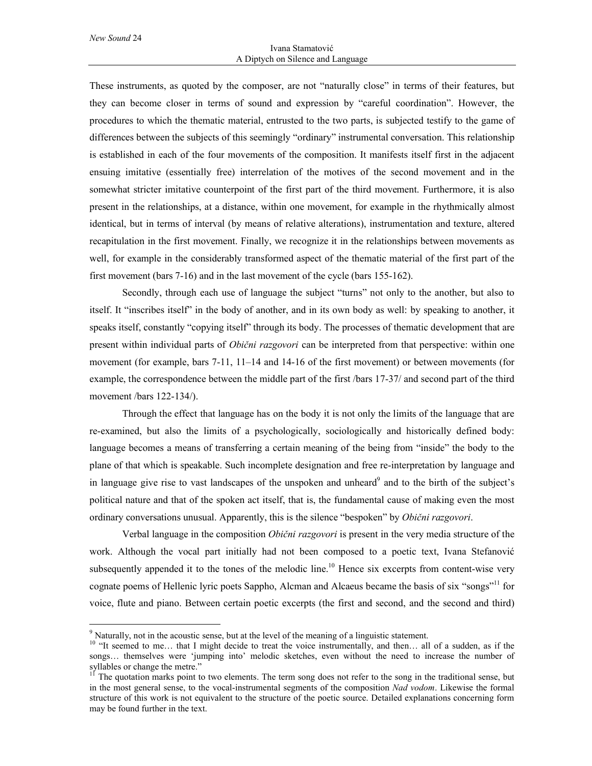$\overline{a}$ 

These instruments, as quoted by the composer, are not "naturally close" in terms of their features, but they can become closer in terms of sound and expression by "careful coordination". However, the procedures to which the thematic material, entrusted to the two parts, is subjected testify to the game of differences between the subjects of this seemingly "ordinary" instrumental conversation. This relationship is established in each of the four movements of the composition. It manifests itself first in the adjacent ensuing imitative (essentially free) interrelation of the motives of the second movement and in the somewhat stricter imitative counterpoint of the first part of the third movement. Furthermore, it is also present in the relationships, at a distance, within one movement, for example in the rhythmically almost identical, but in terms of interval (by means of relative alterations), instrumentation and texture, altered recapitulation in the first movement. Finally, we recognize it in the relationships between movements as well, for example in the considerably transformed aspect of the thematic material of the first part of the first movement (bars 7-16) and in the last movement of the cycle (bars 155-162).

Secondly, through each use of language the subject "turns" not only to the another, but also to itself. It "inscribes itself" in the body of another, and in its own body as well: by speaking to another, it speaks itself, constantly "copying itself" through its body. The processes of thematic development that are present within individual parts of *Obični razgovori* can be interpreted from that perspective: within one movement (for example, bars 7-11, 11–14 and 14-16 of the first movement) or between movements (for example, the correspondence between the middle part of the first /bars 17-37/ and second part of the third movement /bars 122-134/).

Through the effect that language has on the body it is not only the limits of the language that are re-examined, but also the limits of a psychologically, sociologically and historically defined body: language becomes a means of transferring a certain meaning of the being from "inside" the body to the plane of that which is speakable. Such incomplete designation and free re-interpretation by language and in language give rise to vast landscapes of the unspoken and unheard $9$  and to the birth of the subject's political nature and that of the spoken act itself, that is, the fundamental cause of making even the most ordinary conversations unusual. Apparently, this is the silence "bespoken" by *Obični razgovori*.

Verbal language in the composition *Obični razgovori* is present in the very media structure of the work. Although the vocal part initially had not been composed to a poetic text, Ivana Stefanović subsequently appended it to the tones of the melodic line.<sup>10</sup> Hence six excerpts from content-wise very cognate poems of Hellenic lyric poets Sappho, Alcman and Alcaeus became the basis of six "songs"<sup>11</sup> for voice, flute and piano. Between certain poetic excerpts (the first and second, and the second and third)

 $9<sup>9</sup>$  Naturally, not in the acoustic sense, but at the level of the meaning of a linguistic statement.

<sup>&</sup>lt;sup>10</sup> "It seemed to me... that I might decide to treat the voice instrumentally, and then... all of a sudden, as if the songs… themselves were 'jumping into' melodic sketches, even without the need to increase the number of syllables or change the metre."

<sup>&</sup>lt;sup>11</sup> The quotation marks point to two elements. The term song does not refer to the song in the traditional sense, but in the most general sense, to the vocal-instrumental segments of the composition *Nad vodom*. Likewise the formal structure of this work is not equivalent to the structure of the poetic source. Detailed explanations concerning form may be found further in the text.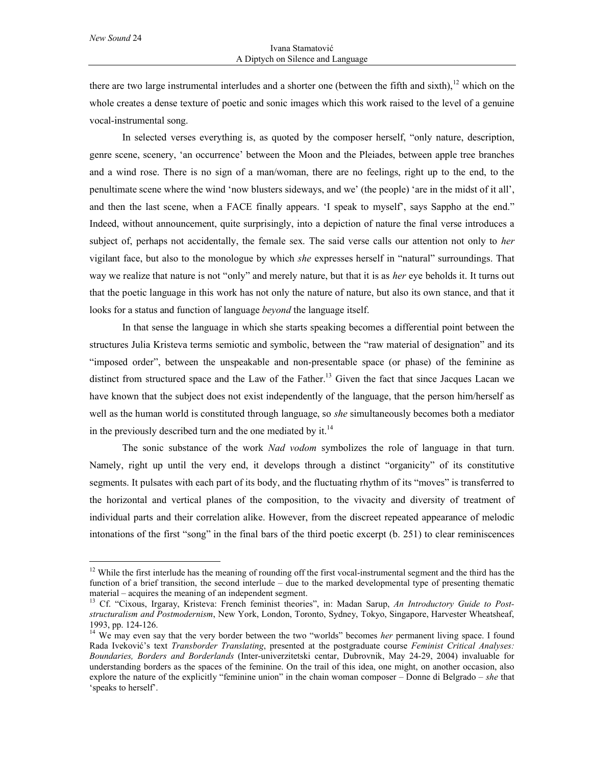*New Sound* 24

 $\overline{a}$ 

there are two large instrumental interludes and a shorter one (between the fifth and sixth), $12$  which on the whole creates a dense texture of poetic and sonic images which this work raised to the level of a genuine vocal-instrumental song.

In selected verses everything is, as quoted by the composer herself, "only nature, description, genre scene, scenery, 'an occurrence' between the Moon and the Pleiades, between apple tree branches and a wind rose. There is no sign of a man/woman, there are no feelings, right up to the end, to the penultimate scene where the wind 'now blusters sideways, and we' (the people) 'are in the midst of it all', and then the last scene, when a FACE finally appears. 'I speak to myself', says Sappho at the end." Indeed, without announcement, quite surprisingly, into a depiction of nature the final verse introduces a subject of, perhaps not accidentally, the female sex. The said verse calls our attention not only to *her* vigilant face, but also to the monologue by which *she* expresses herself in "natural" surroundings. That way we realize that nature is not "only" and merely nature, but that it is as *her* eye beholds it. It turns out that the poetic language in this work has not only the nature of nature, but also its own stance, and that it looks for a status and function of language *beyond* the language itself.

In that sense the language in which she starts speaking becomes a differential point between the structures Julia Kristeva terms semiotic and symbolic, between the "raw material of designation" and its "imposed order", between the unspeakable and non-presentable space (or phase) of the feminine as distinct from structured space and the Law of the Father.<sup>13</sup> Given the fact that since Jacques Lacan we have known that the subject does not exist independently of the language, that the person him/herself as well as the human world is constituted through language, so *she* simultaneously becomes both a mediator in the previously described turn and the one mediated by it. $^{14}$ 

The sonic substance of the work *Nad vodom* symbolizes the role of language in that turn. Namely, right up until the very end, it develops through a distinct "organicity" of its constitutive segments. It pulsates with each part of its body, and the fluctuating rhythm of its "moves" is transferred to the horizontal and vertical planes of the composition, to the vivacity and diversity of treatment of individual parts and their correlation alike. However, from the discreet repeated appearance of melodic intonations of the first "song" in the final bars of the third poetic excerpt (b. 251) to clear reminiscences

<sup>&</sup>lt;sup>12</sup> While the first interlude has the meaning of rounding off the first vocal-instrumental segment and the third has the function of a brief transition, the second interlude – due to the marked developmental type of presenting thematic material – acquires the meaning of an independent segment.

<sup>13</sup> Cf. "Cixous, Irgaray, Kristeva: French feminist theories", in: Madan Sarup, *An Introductory Guide to Poststructuralism and Postmodernism*, New York, London, Toronto, Sydney, Tokyo, Singapore, Harvester Wheatsheaf, 1993, pp. 124-126.

<sup>&</sup>lt;sup>14</sup> We may even say that the very border between the two "worlds" becomes *her* permanent living space. I found Rada Iveković's text *Transborder Translating*, presented at the postgraduate course *Feminist Critical Analyses: Boundaries, Borders and Borderlands* (Inter-univerzitetski centar, Dubrovnik, May 24-29, 2004) invaluable for understanding borders as the spaces of the feminine. On the trail of this idea, one might, on another occasion, also explore the nature of the explicitly "feminine union" in the chain woman composer – Donne di Belgrado – *she* that 'speaks to herself'.